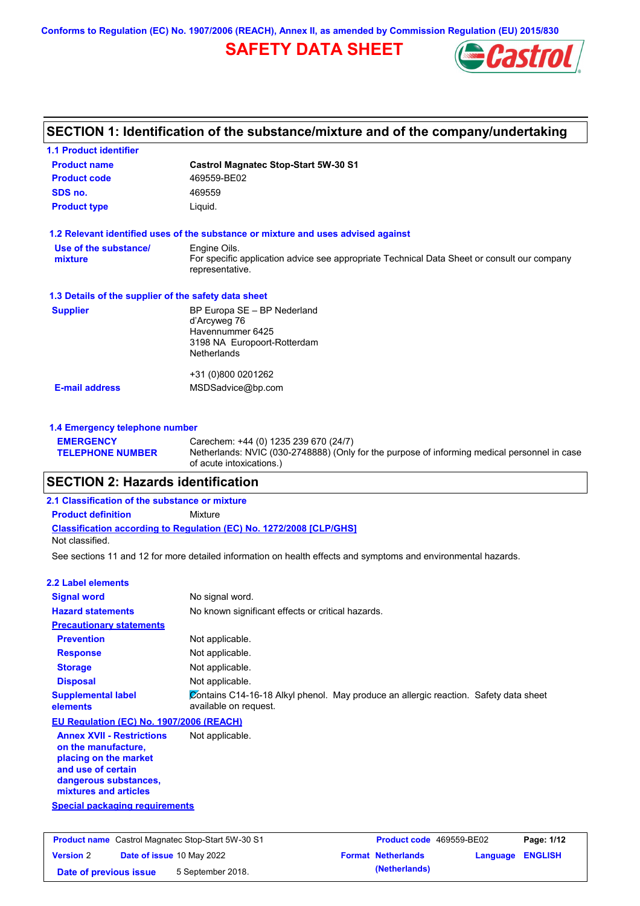**Conforms to Regulation (EC) No. 1907/2006 (REACH), Annex II, as amended by Commission Regulation (EU) 2015/830**

# **SAFETY DATA SHEET**



## **SECTION 1: Identification of the substance/mixture and of the company/undertaking**

| <b>1.1 Product identifier</b>                        |                                                                                                                |
|------------------------------------------------------|----------------------------------------------------------------------------------------------------------------|
| <b>Product name</b>                                  | <b>Castrol Magnatec Stop-Start 5W-30 S1</b>                                                                    |
| <b>Product code</b>                                  | 469559-BE02                                                                                                    |
| SDS no.                                              | 469559                                                                                                         |
| <b>Product type</b>                                  | Liquid.                                                                                                        |
|                                                      | 1.2 Relevant identified uses of the substance or mixture and uses advised against                              |
| Use of the substance/                                | Engine Oils.                                                                                                   |
| mixture                                              | For specific application advice see appropriate Technical Data Sheet or consult our company<br>representative. |
| 1.3 Details of the supplier of the safety data sheet |                                                                                                                |
| <b>Supplier</b>                                      | BP Europa SE - BP Nederland                                                                                    |
|                                                      | d'Arcyweg 76<br>Havennummer 6425                                                                               |
|                                                      | 3198 NA Europoort-Rotterdam                                                                                    |
|                                                      | <b>Netherlands</b>                                                                                             |
|                                                      | +31 (0)800 0201262                                                                                             |
| <b>E-mail address</b>                                | MSDSadvice@bp.com                                                                                              |
|                                                      |                                                                                                                |
| 1.4 Emergency telephone number                       |                                                                                                                |

#### **TELEPHONE NUMBER** Netherlands: NVIC (030-2748888) (Only for the purpose of informing medical personnel in case of acute intoxications.)

## **SECTION 2: Hazards identification**

**EMERGENCY** 

#### **Classification according to Regulation (EC) No. 1272/2008 [CLP/GHS] 2.1 Classification of the substance or mixture Product definition** Mixture Not classified.

See sections 11 and 12 for more detailed information on health effects and symptoms and environmental hazards.

Carechem: +44 (0) 1235 239 670 (24/7)

| 2.2 Label elements                                                                                                                                                                                |                                                                                                               |
|---------------------------------------------------------------------------------------------------------------------------------------------------------------------------------------------------|---------------------------------------------------------------------------------------------------------------|
| <b>Signal word</b>                                                                                                                                                                                | No signal word.                                                                                               |
| <b>Hazard statements</b>                                                                                                                                                                          | No known significant effects or critical hazards.                                                             |
| <b>Precautionary statements</b>                                                                                                                                                                   |                                                                                                               |
| <b>Prevention</b>                                                                                                                                                                                 | Not applicable.                                                                                               |
| <b>Response</b>                                                                                                                                                                                   | Not applicable.                                                                                               |
| <b>Storage</b>                                                                                                                                                                                    | Not applicable.                                                                                               |
| <b>Disposal</b>                                                                                                                                                                                   | Not applicable.                                                                                               |
| <b>Supplemental label</b><br>elements                                                                                                                                                             | Contains C14-16-18 Alkyl phenol. May produce an allergic reaction. Safety data sheet<br>available on request. |
| EU Regulation (EC) No. 1907/2006 (REACH)                                                                                                                                                          |                                                                                                               |
| <b>Annex XVII - Restrictions</b><br>on the manufacture,<br>placing on the market<br>and use of certain<br>dangerous substances,<br>mixtures and articles<br><b>Special packaging requirements</b> | Not applicable.                                                                                               |
|                                                                                                                                                                                                   |                                                                                                               |

| <b>Product name</b> Castrol Magnatec Stop-Start 5W-30 S1 |  | <b>Product code</b> 469559-BE02 |  | Page: 1/12                |                         |  |
|----------------------------------------------------------|--|---------------------------------|--|---------------------------|-------------------------|--|
| <b>Version 2</b>                                         |  | Date of issue 10 May 2022       |  | <b>Format Netherlands</b> | <b>Language ENGLISH</b> |  |
| Date of previous issue                                   |  | 5 September 2018.               |  | (Netherlands)             |                         |  |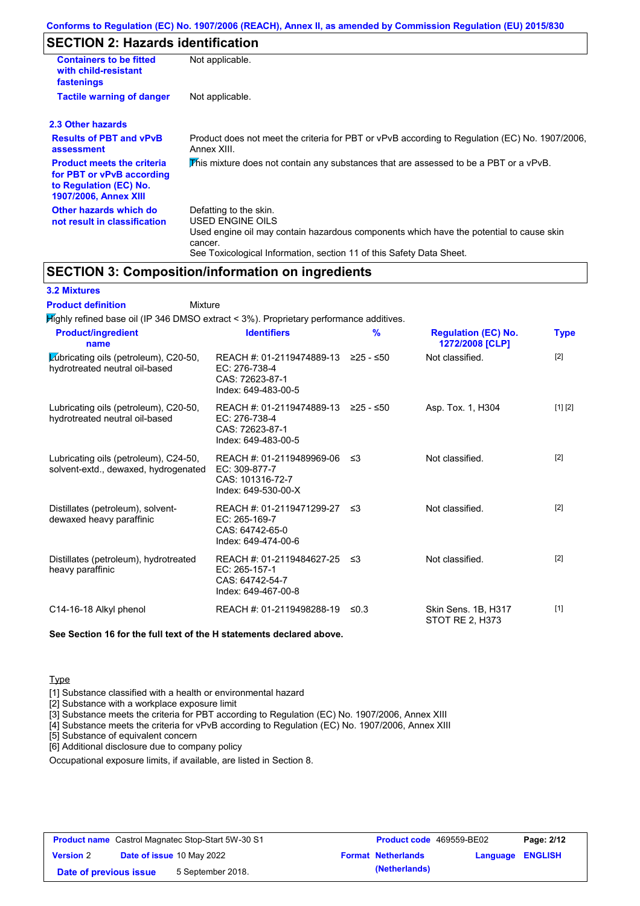## **SECTION 2: Hazards identification**

| <b>Containers to be fitted</b><br>with child-resistant<br>fastenings                                                     | Not applicable.                                                                                                                                                                                                          |
|--------------------------------------------------------------------------------------------------------------------------|--------------------------------------------------------------------------------------------------------------------------------------------------------------------------------------------------------------------------|
| <b>Tactile warning of danger</b>                                                                                         | Not applicable.                                                                                                                                                                                                          |
| 2.3 Other hazards                                                                                                        |                                                                                                                                                                                                                          |
| <b>Results of PBT and vPvB</b><br>assessment                                                                             | Product does not meet the criteria for PBT or vPvB according to Regulation (EC) No. 1907/2006,<br>Annex XIII.                                                                                                            |
| <b>Product meets the criteria</b><br>for PBT or vPvB according<br>to Regulation (EC) No.<br><b>1907/2006, Annex XIII</b> | This mixture does not contain any substances that are assessed to be a PBT or a vPvB.                                                                                                                                    |
| Other hazards which do<br>not result in classification                                                                   | Defatting to the skin.<br>USED ENGINE OILS<br>Used engine oil may contain hazardous components which have the potential to cause skin<br>cancer.<br>See Toxicological Information, section 11 of this Safety Data Sheet. |

#### **SECTION 3: Composition/information on ingredients**

#### **3.2 Mixtures**

Mixture **Product definition**

| <b>Product/ingredient</b><br>name                                             | <b>Identifiers</b>                                                                    | $\frac{9}{6}$ | <b>Regulation (EC) No.</b><br>1272/2008 [CLP] | <b>Type</b> |
|-------------------------------------------------------------------------------|---------------------------------------------------------------------------------------|---------------|-----------------------------------------------|-------------|
| Lubricating oils (petroleum), C20-50,<br>hydrotreated neutral oil-based       | REACH #: 01-2119474889-13<br>EC: 276-738-4<br>CAS: 72623-87-1<br>Index: 649-483-00-5  | ≥25 - ≤50     | Not classified.                               | [2]         |
| Lubricating oils (petroleum), C20-50,<br>hydrotreated neutral oil-based       | REACH #: 01-2119474889-13<br>EC: 276-738-4<br>CAS: 72623-87-1<br>Index: 649-483-00-5  | ≥25 - ≤50     | Asp. Tox. 1, H304                             | [1] [2]     |
| Lubricating oils (petroleum), C24-50,<br>solvent-extd., dewaxed, hydrogenated | REACH #: 01-2119489969-06<br>EC: 309-877-7<br>CAS: 101316-72-7<br>Index: 649-530-00-X | -≤3           | Not classified.                               | $[2]$       |
| Distillates (petroleum), solvent-<br>dewaxed heavy paraffinic                 | REACH #: 01-2119471299-27<br>EC: 265-169-7<br>CAS: 64742-65-0<br>Index: 649-474-00-6  | ו≥ ≤          | Not classified.                               | $[2]$       |
| Distillates (petroleum), hydrotreated<br>heavy paraffinic                     | REACH #: 01-2119484627-25<br>EC: 265-157-1<br>CAS: 64742-54-7<br>Index: 649-467-00-8  | -≤3           | Not classified.                               | $[2]$       |
| C14-16-18 Alkyl phenol                                                        | REACH #: 01-2119498288-19                                                             | ≤0.3          | Skin Sens. 1B, H317<br>STOT RE 2. H373        | $[1]$       |

**See Section 16 for the full text of the H statements declared above.**

#### **Type**

[1] Substance classified with a health or environmental hazard

[2] Substance with a workplace exposure limit

[3] Substance meets the criteria for PBT according to Regulation (EC) No. 1907/2006, Annex XIII

[4] Substance meets the criteria for vPvB according to Regulation (EC) No. 1907/2006, Annex XIII

[5] Substance of equivalent concern

[6] Additional disclosure due to company policy

Occupational exposure limits, if available, are listed in Section 8.

| <b>Product name</b> Castrol Magnatec Stop-Start 5W-30 S1 |  | <b>Product code</b> 469559-BE02  |                           | Page: 2/12              |  |
|----------------------------------------------------------|--|----------------------------------|---------------------------|-------------------------|--|
| <b>Version 2</b>                                         |  | <b>Date of issue 10 May 2022</b> | <b>Format Netherlands</b> | <b>Language ENGLISH</b> |  |
| Date of previous issue                                   |  | 5 September 2018.                | (Netherlands)             |                         |  |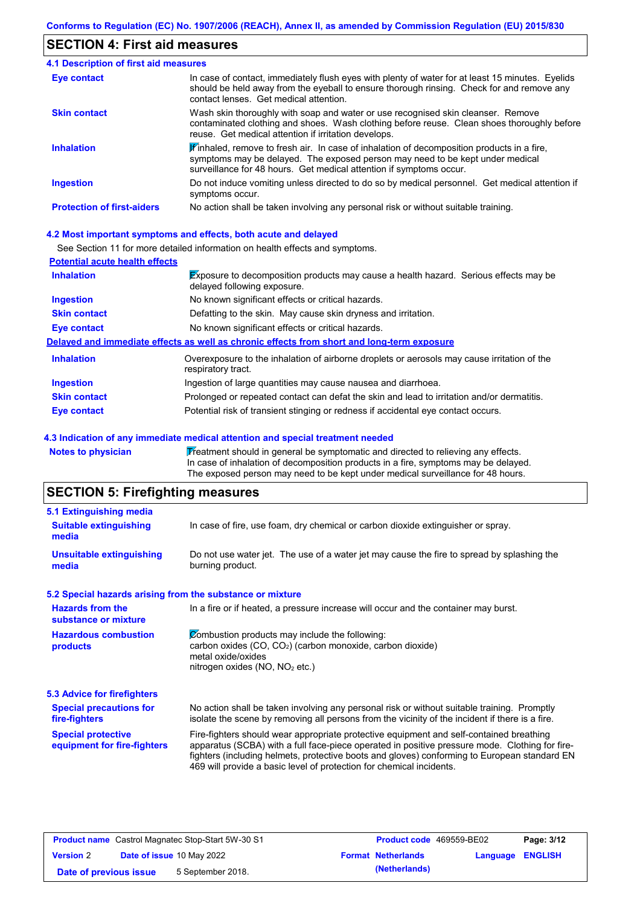## **SECTION 4: First aid measures**

| <b>4.1 Description of first aid measures</b> |                                                                                                                                                                                                                                                                         |
|----------------------------------------------|-------------------------------------------------------------------------------------------------------------------------------------------------------------------------------------------------------------------------------------------------------------------------|
| <b>Eye contact</b>                           | In case of contact, immediately flush eyes with plenty of water for at least 15 minutes. Eyelids<br>should be held away from the eyeball to ensure thorough rinsing. Check for and remove any<br>contact lenses. Get medical attention.                                 |
| <b>Skin contact</b>                          | Wash skin thoroughly with soap and water or use recognised skin cleanser. Remove<br>contaminated clothing and shoes. Wash clothing before reuse. Clean shoes thoroughly before<br>reuse. Get medical attention if irritation develops.                                  |
| <b>Inhalation</b>                            | $\mathbf{\mathscr{F}}$ inhaled, remove to fresh air. In case of inhalation of decomposition products in a fire,<br>symptoms may be delayed. The exposed person may need to be kept under medical<br>surveillance for 48 hours. Get medical attention if symptoms occur. |
| <b>Ingestion</b>                             | Do not induce vomiting unless directed to do so by medical personnel. Get medical attention if<br>symptoms occur.                                                                                                                                                       |
| <b>Protection of first-aiders</b>            | No action shall be taken involving any personal risk or without suitable training.                                                                                                                                                                                      |

#### **4.2 Most important symptoms and effects, both acute and delayed**

See Section 11 for more detailed information on health effects and symptoms.

| <b>Potential acute health effects</b> |                                                                                                                            |
|---------------------------------------|----------------------------------------------------------------------------------------------------------------------------|
| <b>Inhalation</b>                     | <b>Exposure to decomposition products may cause a health hazard. Serious effects may be</b><br>delayed following exposure. |
| <b>Ingestion</b>                      | No known significant effects or critical hazards.                                                                          |
| <b>Skin contact</b>                   | Defatting to the skin. May cause skin dryness and irritation.                                                              |
| Eye contact                           | No known significant effects or critical hazards.                                                                          |
|                                       | Delayed and immediate effects as well as chronic effects from short and long-term exposure                                 |
| <b>Inhalation</b>                     | Overexposure to the inhalation of airborne droplets or aerosols may cause irritation of the<br>respiratory tract.          |
| <b>Ingestion</b>                      | Ingestion of large quantities may cause nausea and diarrhoea.                                                              |
| <b>Skin contact</b>                   | Prolonged or repeated contact can defat the skin and lead to irritation and/or dermatitis.                                 |
| Eye contact                           | Potential risk of transient stinging or redness if accidental eye contact occurs.                                          |

#### **4.3 Indication of any immediate medical attention and special treatment needed**

Notes to physician **Treatment should in general be symptomatic and directed to relieving any effects.** In case of inhalation of decomposition products in a fire, symptoms may be delayed. The exposed person may need to be kept under medical surveillance for 48 hours.

# **SECTION 5: Firefighting measures**

| 5.1 Extinguishing media                                   |                                                                                                                                                                                                                                                                                                                                                                   |  |  |  |
|-----------------------------------------------------------|-------------------------------------------------------------------------------------------------------------------------------------------------------------------------------------------------------------------------------------------------------------------------------------------------------------------------------------------------------------------|--|--|--|
| <b>Suitable extinguishing</b><br>media                    | In case of fire, use foam, dry chemical or carbon dioxide extinguisher or spray.                                                                                                                                                                                                                                                                                  |  |  |  |
| <b>Unsuitable extinguishing</b><br>media                  | Do not use water jet. The use of a water jet may cause the fire to spread by splashing the<br>burning product.                                                                                                                                                                                                                                                    |  |  |  |
| 5.2 Special hazards arising from the substance or mixture |                                                                                                                                                                                                                                                                                                                                                                   |  |  |  |
| <b>Hazards from the</b><br>substance or mixture           | In a fire or if heated, a pressure increase will occur and the container may burst.                                                                                                                                                                                                                                                                               |  |  |  |
| <b>Hazardous combustion</b><br>products                   | Combustion products may include the following:<br>carbon oxides (CO, CO <sub>2</sub> ) (carbon monoxide, carbon dioxide)<br>metal oxide/oxides<br>nitrogen oxides (NO, NO <sub>2</sub> etc.)                                                                                                                                                                      |  |  |  |
| 5.3 Advice for firefighters                               |                                                                                                                                                                                                                                                                                                                                                                   |  |  |  |
| <b>Special precautions for</b><br>fire-fighters           | No action shall be taken involving any personal risk or without suitable training. Promptly<br>isolate the scene by removing all persons from the vicinity of the incident if there is a fire.                                                                                                                                                                    |  |  |  |
| <b>Special protective</b><br>equipment for fire-fighters  | Fire-fighters should wear appropriate protective equipment and self-contained breathing<br>apparatus (SCBA) with a full face-piece operated in positive pressure mode. Clothing for fire-<br>fighters (including helmets, protective boots and gloves) conforming to European standard EN<br>469 will provide a basic level of protection for chemical incidents. |  |  |  |

| <b>Product name</b> Castrol Magnatec Stop-Start 5W-30 S1 |  | <b>Product code</b> 469559-BE02  |  | Page: 3/12                |                         |  |
|----------------------------------------------------------|--|----------------------------------|--|---------------------------|-------------------------|--|
| <b>Version 2</b>                                         |  | <b>Date of issue 10 May 2022</b> |  | <b>Format Netherlands</b> | <b>Language ENGLISH</b> |  |
| Date of previous issue                                   |  | 5 September 2018.                |  | (Netherlands)             |                         |  |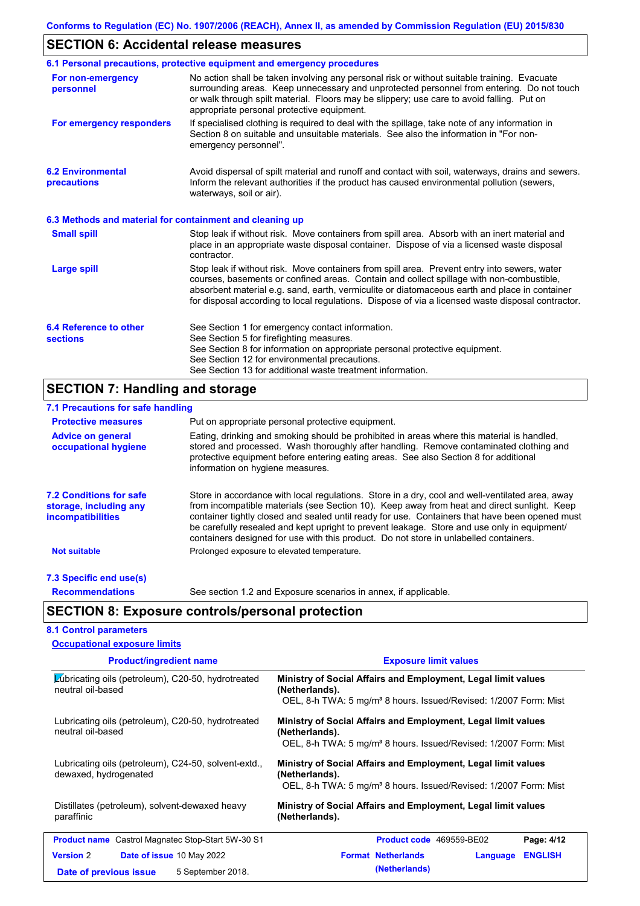# **SECTION 6: Accidental release measures**

|                                                          | 6.1 Personal precautions, protective equipment and emergency procedures                                                                                                                                                                                                                                                                                                                        |
|----------------------------------------------------------|------------------------------------------------------------------------------------------------------------------------------------------------------------------------------------------------------------------------------------------------------------------------------------------------------------------------------------------------------------------------------------------------|
| For non-emergency<br>personnel                           | No action shall be taken involving any personal risk or without suitable training. Evacuate<br>surrounding areas. Keep unnecessary and unprotected personnel from entering. Do not touch<br>or walk through spilt material. Floors may be slippery; use care to avoid falling. Put on<br>appropriate personal protective equipment.                                                            |
| For emergency responders                                 | If specialised clothing is required to deal with the spillage, take note of any information in<br>Section 8 on suitable and unsuitable materials. See also the information in "For non-<br>emergency personnel".                                                                                                                                                                               |
| <b>6.2 Environmental</b><br>precautions                  | Avoid dispersal of spilt material and runoff and contact with soil, waterways, drains and sewers.<br>Inform the relevant authorities if the product has caused environmental pollution (sewers,<br>waterways, soil or air).                                                                                                                                                                    |
| 6.3 Methods and material for containment and cleaning up |                                                                                                                                                                                                                                                                                                                                                                                                |
| <b>Small spill</b>                                       | Stop leak if without risk. Move containers from spill area. Absorb with an inert material and<br>place in an appropriate waste disposal container. Dispose of via a licensed waste disposal<br>contractor.                                                                                                                                                                                     |
| Large spill                                              | Stop leak if without risk. Move containers from spill area. Prevent entry into sewers, water<br>courses, basements or confined areas. Contain and collect spillage with non-combustible,<br>absorbent material e.g. sand, earth, vermiculite or diatomaceous earth and place in container<br>for disposal according to local regulations. Dispose of via a licensed waste disposal contractor. |
| 6.4 Reference to other<br><b>sections</b>                | See Section 1 for emergency contact information.<br>See Section 5 for firefighting measures.<br>See Section 8 for information on appropriate personal protective equipment.<br>See Section 12 for environmental precautions.<br>See Section 13 for additional waste treatment information.                                                                                                     |

# **SECTION 7: Handling and storage**

| 7.1 Precautions for safe handling                                                    |                                                                                                                                                                                                                                                                                                                                                                                                                                                                                          |
|--------------------------------------------------------------------------------------|------------------------------------------------------------------------------------------------------------------------------------------------------------------------------------------------------------------------------------------------------------------------------------------------------------------------------------------------------------------------------------------------------------------------------------------------------------------------------------------|
| <b>Protective measures</b>                                                           | Put on appropriate personal protective equipment.                                                                                                                                                                                                                                                                                                                                                                                                                                        |
| <b>Advice on general</b><br>occupational hygiene                                     | Eating, drinking and smoking should be prohibited in areas where this material is handled,<br>stored and processed. Wash thoroughly after handling. Remove contaminated clothing and<br>protective equipment before entering eating areas. See also Section 8 for additional<br>information on hygiene measures.                                                                                                                                                                         |
| <b>7.2 Conditions for safe</b><br>storage, including any<br><i>incompatibilities</i> | Store in accordance with local regulations. Store in a dry, cool and well-ventilated area, away<br>from incompatible materials (see Section 10). Keep away from heat and direct sunlight. Keep<br>container tightly closed and sealed until ready for use. Containers that have been opened must<br>be carefully resealed and kept upright to prevent leakage. Store and use only in equipment/<br>containers designed for use with this product. Do not store in unlabelled containers. |
| <b>Not suitable</b>                                                                  | Prolonged exposure to elevated temperature.                                                                                                                                                                                                                                                                                                                                                                                                                                              |
| 7.3 Specific end use(s)                                                              |                                                                                                                                                                                                                                                                                                                                                                                                                                                                                          |
| <b>Recommendations</b>                                                               | See section 1.2 and Exposure scenarios in annex, if applicable.                                                                                                                                                                                                                                                                                                                                                                                                                          |
|                                                                                      | <b>SECTION 8: Exposure controls/personal protection</b>                                                                                                                                                                                                                                                                                                                                                                                                                                  |
| <b>8.1 Control parameters</b>                                                        |                                                                                                                                                                                                                                                                                                                                                                                                                                                                                          |

| <b>Occupational exposure limits</b> |  |
|-------------------------------------|--|

| <b>Product/ingredient name</b>                                                | <b>Exposure limit values</b>                                                                                                                                    |  |  |  |  |  |
|-------------------------------------------------------------------------------|-----------------------------------------------------------------------------------------------------------------------------------------------------------------|--|--|--|--|--|
| Lubricating oils (petroleum), C20-50, hydrotreated<br>neutral oil-based       | Ministry of Social Affairs and Employment, Legal limit values<br>(Netherlands).<br>OEL, 8-h TWA: 5 mg/m <sup>3</sup> 8 hours. Issued/Revised: 1/2007 Form: Mist |  |  |  |  |  |
| Lubricating oils (petroleum), C20-50, hydrotreated<br>neutral oil-based       | Ministry of Social Affairs and Employment, Legal limit values<br>(Netherlands).<br>OEL, 8-h TWA: 5 mg/m <sup>3</sup> 8 hours. Issued/Revised: 1/2007 Form: Mist |  |  |  |  |  |
| Lubricating oils (petroleum), C24-50, solvent-extd.,<br>dewaxed, hydrogenated | Ministry of Social Affairs and Employment, Legal limit values<br>(Netherlands).<br>OEL, 8-h TWA: 5 mg/m <sup>3</sup> 8 hours. Issued/Revised: 1/2007 Form: Mist |  |  |  |  |  |
| Distillates (petroleum), solvent-dewaxed heavy<br>paraffinic                  | Ministry of Social Affairs and Employment, Legal limit values<br>(Netherlands).                                                                                 |  |  |  |  |  |
| <b>Product name</b> Castrol Magnatec Stop-Start 5W-30 S1                      | Product code 469559-BE02<br>Page: 4/12                                                                                                                          |  |  |  |  |  |
| <b>Version 2</b><br><b>Date of issue 10 May 2022</b>                          | <b>Format Netherlands</b><br><b>ENGLISH</b><br>Language                                                                                                         |  |  |  |  |  |
| 5 September 2018.<br>Date of previous issue                                   | (Netherlands)                                                                                                                                                   |  |  |  |  |  |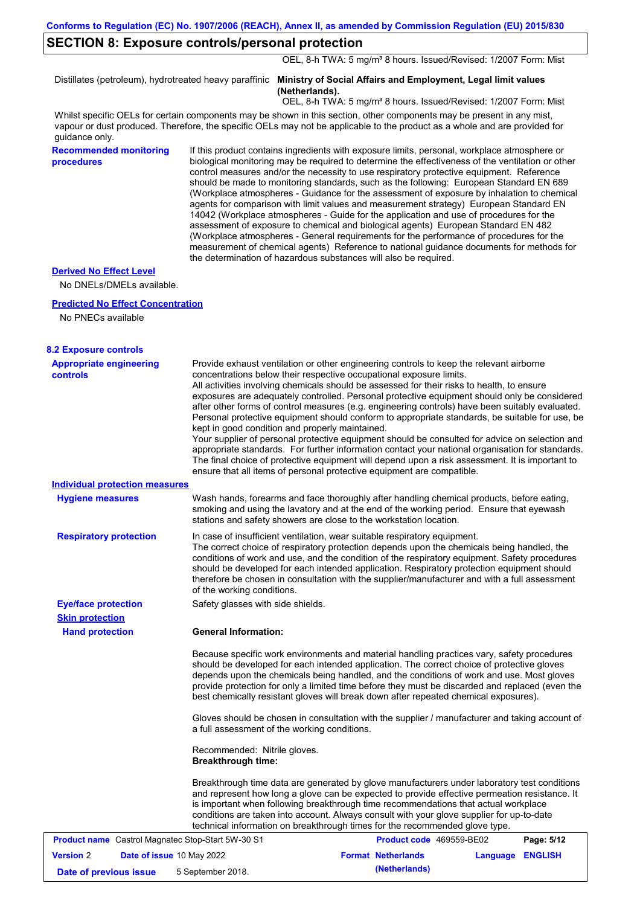#### **SECTION 8: Exposure controls/personal protection**

OEL, 8-h TWA: 5 mg/m<sup>3</sup> 8 hours. Issued/Revised: 1/2007 Form: Mist

Distillates (petroleum), hydrotreated heavy paraffinic **Ministry of Social Affairs and Employment, Legal limit values (Netherlands).**

OEL, 8-h TWA: 5 mg/m<sup>3</sup> 8 hours. Issued/Revised: 1/2007 Form: Mist

Whilst specific OELs for certain components may be shown in this section, other components may be present in any mist, vapour or dust produced. Therefore, the specific OELs may not be applicable to the product as a whole and are provided for guidance only.

**Recommended monitoring procedures**

If this product contains ingredients with exposure limits, personal, workplace atmosphere or biological monitoring may be required to determine the effectiveness of the ventilation or other control measures and/or the necessity to use respiratory protective equipment. Reference should be made to monitoring standards, such as the following: European Standard EN 689 (Workplace atmospheres - Guidance for the assessment of exposure by inhalation to chemical agents for comparison with limit values and measurement strategy) European Standard EN 14042 (Workplace atmospheres - Guide for the application and use of procedures for the assessment of exposure to chemical and biological agents) European Standard EN 482 (Workplace atmospheres - General requirements for the performance of procedures for the measurement of chemical agents) Reference to national guidance documents for methods for the determination of hazardous substances will also be required.

#### **Derived No Effect Level**

No DNELs/DMELs available.

#### **Predicted No Effect Concentration**

No PNECs available

| <b>Appropriate engineering</b> | Provide exhaust ventilation or other engineering controls to keep the relevant airborne          |
|--------------------------------|--------------------------------------------------------------------------------------------------|
| <b>controls</b>                | concentrations below their respective occupational exposure limits.                              |
|                                | All activities involving chemicals should be assessed for their risks to health, to ensure       |
|                                | exposures are adequately controlled. Personal protective equipment should only be considered     |
|                                | after other forms of control measures (e.g. engineering controls) have been suitably evaluated.  |
|                                | Personal protective equipment should conform to appropriate standards, be suitable for use, be   |
|                                | kept in good condition and properly maintained.                                                  |
|                                | Your supplier of personal protective equipment should be consulted for advice on selection and   |
|                                | appropriate standards. For further information contact your national organisation for standards. |
|                                | The final choice of protective equipment will depend upon a risk assessment. It is important to  |
|                                | ensure that all items of personal protective equipment are compatible.                           |

In case of insufficient ventilation, wear suitable respiratory equipment. The correct choice of respiratory protection depends upon the chemicals being handled, the conditions of work and use, and the condition of the respiratory equipment. Safety procedures should be developed for each intended application. Respiratory protection equipment should therefore be chosen in consultation with the supplier/manufacturer and with a full assessment of the working conditions. **Respiratory protection** Wash hands, forearms and face thoroughly after handling chemical products, before eating, smoking and using the lavatory and at the end of the working period. Ensure that eyewash stations and safety showers are close to the workstation location. **Hygiene measures Individual protection measures**

**Eye/face protection** Safety glasses with side shields. **Skin protection**

**Hand protection**

**General Information:**

Because specific work environments and material handling practices vary, safety procedures should be developed for each intended application. The correct choice of protective gloves depends upon the chemicals being handled, and the conditions of work and use. Most gloves provide protection for only a limited time before they must be discarded and replaced (even the best chemically resistant gloves will break down after repeated chemical exposures).

Gloves should be chosen in consultation with the supplier / manufacturer and taking account of a full assessment of the working conditions.

Recommended: Nitrile gloves. **Breakthrough time:**

Breakthrough time data are generated by glove manufacturers under laboratory test conditions and represent how long a glove can be expected to provide effective permeation resistance. It is important when following breakthrough time recommendations that actual workplace conditions are taken into account. Always consult with your glove supplier for up-to-date technical information on breakthrough times for the recommended glove type.

| <b>Product name</b> Castrol Magnatec Stop-Start 5W-30 S1 |  |                                  | <b>Product code</b> 469559-BE02 | Page: 5/12       |  |
|----------------------------------------------------------|--|----------------------------------|---------------------------------|------------------|--|
| <b>Version 2</b>                                         |  | <b>Date of issue 10 May 2022</b> | <b>Format Netherlands</b>       | Language ENGLISH |  |
| Date of previous issue                                   |  | 5 September 2018.                | (Netherlands)                   |                  |  |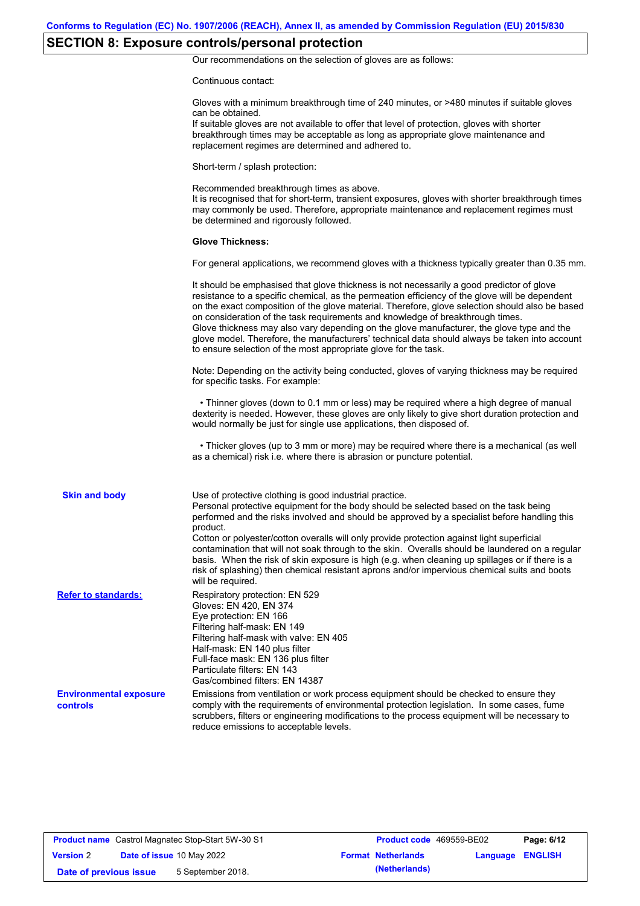# **SECTION 8: Exposure controls/personal protection**

Our recommendations on the selection of gloves are as follows:

Continuous contact:

|                                                  | Gloves with a minimum breakthrough time of 240 minutes, or >480 minutes if suitable gloves<br>can be obtained.<br>If suitable gloves are not available to offer that level of protection, gloves with shorter<br>breakthrough times may be acceptable as long as appropriate glove maintenance and<br>replacement regimes are determined and adhered to.                                                                                                                                                                                                                                                                                                                              |
|--------------------------------------------------|---------------------------------------------------------------------------------------------------------------------------------------------------------------------------------------------------------------------------------------------------------------------------------------------------------------------------------------------------------------------------------------------------------------------------------------------------------------------------------------------------------------------------------------------------------------------------------------------------------------------------------------------------------------------------------------|
|                                                  | Short-term / splash protection:                                                                                                                                                                                                                                                                                                                                                                                                                                                                                                                                                                                                                                                       |
|                                                  | Recommended breakthrough times as above.<br>It is recognised that for short-term, transient exposures, gloves with shorter breakthrough times<br>may commonly be used. Therefore, appropriate maintenance and replacement regimes must<br>be determined and rigorously followed.                                                                                                                                                                                                                                                                                                                                                                                                      |
|                                                  | <b>Glove Thickness:</b>                                                                                                                                                                                                                                                                                                                                                                                                                                                                                                                                                                                                                                                               |
|                                                  | For general applications, we recommend gloves with a thickness typically greater than 0.35 mm.                                                                                                                                                                                                                                                                                                                                                                                                                                                                                                                                                                                        |
|                                                  | It should be emphasised that glove thickness is not necessarily a good predictor of glove<br>resistance to a specific chemical, as the permeation efficiency of the glove will be dependent<br>on the exact composition of the glove material. Therefore, glove selection should also be based<br>on consideration of the task requirements and knowledge of breakthrough times.<br>Glove thickness may also vary depending on the glove manufacturer, the glove type and the<br>glove model. Therefore, the manufacturers' technical data should always be taken into account<br>to ensure selection of the most appropriate glove for the task.                                     |
|                                                  | Note: Depending on the activity being conducted, gloves of varying thickness may be required<br>for specific tasks. For example:                                                                                                                                                                                                                                                                                                                                                                                                                                                                                                                                                      |
|                                                  | • Thinner gloves (down to 0.1 mm or less) may be required where a high degree of manual<br>dexterity is needed. However, these gloves are only likely to give short duration protection and<br>would normally be just for single use applications, then disposed of.                                                                                                                                                                                                                                                                                                                                                                                                                  |
|                                                  | • Thicker gloves (up to 3 mm or more) may be required where there is a mechanical (as well<br>as a chemical) risk i.e. where there is abrasion or puncture potential.                                                                                                                                                                                                                                                                                                                                                                                                                                                                                                                 |
| <b>Skin and body</b>                             | Use of protective clothing is good industrial practice.<br>Personal protective equipment for the body should be selected based on the task being<br>performed and the risks involved and should be approved by a specialist before handling this<br>product.<br>Cotton or polyester/cotton overalls will only provide protection against light superficial<br>contamination that will not soak through to the skin. Overalls should be laundered on a regular<br>basis. When the risk of skin exposure is high (e.g. when cleaning up spillages or if there is a<br>risk of splashing) then chemical resistant aprons and/or impervious chemical suits and boots<br>will be required. |
| <b>Refer to standards:</b>                       | Respiratory protection: EN 529<br>Gloves: EN 420, EN 374<br>Eye protection: EN 166<br>Filtering half-mask: EN 149<br>Filtering half-mask with valve: EN 405<br>Half-mask: EN 140 plus filter<br>Full-face mask: EN 136 plus filter<br>Particulate filters: EN 143<br>Gas/combined filters: EN 14387                                                                                                                                                                                                                                                                                                                                                                                   |
| <b>Environmental exposure</b><br><b>controls</b> | Emissions from ventilation or work process equipment should be checked to ensure they<br>comply with the requirements of environmental protection legislation. In some cases, fume<br>scrubbers, filters or engineering modifications to the process equipment will be necessary to<br>reduce emissions to acceptable levels.                                                                                                                                                                                                                                                                                                                                                         |

| <b>Product name</b> Castrol Magnatec Stop-Start 5W-30 S1 |                           |                   | <b>Product code</b> 469559-BE02 |                           | Page: 6/12       |  |
|----------------------------------------------------------|---------------------------|-------------------|---------------------------------|---------------------------|------------------|--|
| <b>Version 2</b>                                         | Date of issue 10 May 2022 |                   |                                 | <b>Format Netherlands</b> | Language ENGLISH |  |
| Date of previous issue                                   |                           | 5 September 2018. |                                 | (Netherlands)             |                  |  |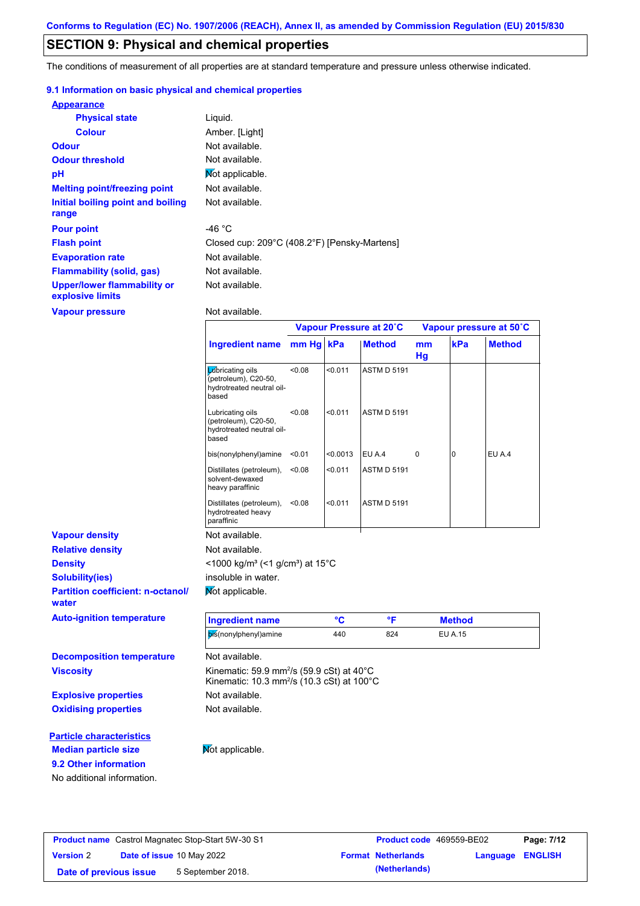## **SECTION 9: Physical and chemical properties**

The conditions of measurement of all properties are at standard temperature and pressure unless otherwise indicated.

#### **9.1 Information on basic physical and chemical properties**

| <b>Appearance</b>                               |                                              |
|-------------------------------------------------|----------------------------------------------|
| <b>Physical state</b>                           | Liquid.                                      |
| <b>Colour</b>                                   | Amber. [Light]                               |
| <b>Odour</b>                                    | Not available.                               |
| <b>Odour threshold</b>                          | Not available.                               |
| pH                                              | Mot applicable.                              |
| <b>Melting point/freezing point</b>             | Not available.                               |
| Initial boiling point and boiling<br>range      | Not available.                               |
| <b>Pour point</b>                               | -46 °C                                       |
| <b>Flash point</b>                              | Closed cup: 209°C (408.2°F) [Pensky-Martens] |
| <b>Evaporation rate</b>                         | Not available.                               |
| <b>Flammability (solid, gas)</b>                | Not available.                               |
| Upper/lower flammability or<br>explosive limits | Not available.                               |

**Vapour pressure**

Not available.

|                                                   |                                                                                                                           | Vapour Pressure at 20°C |          |                    | Vapour pressure at 50°C |               |               |
|---------------------------------------------------|---------------------------------------------------------------------------------------------------------------------------|-------------------------|----------|--------------------|-------------------------|---------------|---------------|
|                                                   | <b>Ingredient name</b>                                                                                                    | mm Hg kPa               |          | <b>Method</b>      | mm<br>Hg                | kPa           | <b>Method</b> |
|                                                   | Lubricating oils<br>(petroleum), C20-50,<br>hydrotreated neutral oil-<br>based                                            | < 0.08                  | < 0.011  | <b>ASTM D 5191</b> |                         |               |               |
|                                                   | Lubricating oils<br>(petroleum), C20-50,<br>hydrotreated neutral oil-<br>based                                            | < 0.08                  | < 0.011  | <b>ASTM D 5191</b> |                         |               |               |
|                                                   | bis(nonylphenyl)amine                                                                                                     | < 0.01                  | < 0.0013 | EU A.4             | 0                       | $\Omega$      | EU A.4        |
|                                                   | Distillates (petroleum),<br>solvent-dewaxed<br>heavy paraffinic                                                           | < 0.08                  | < 0.011  | <b>ASTM D 5191</b> |                         |               |               |
|                                                   | Distillates (petroleum),<br>hydrotreated heavy<br>paraffinic                                                              | < 0.08                  | < 0.011  | <b>ASTM D 5191</b> |                         |               |               |
| <b>Vapour density</b>                             | Not available.                                                                                                            |                         |          |                    |                         |               |               |
| <b>Relative density</b>                           | Not available.                                                                                                            |                         |          |                    |                         |               |               |
| <b>Density</b>                                    | <1000 kg/m <sup>3</sup> (<1 g/cm <sup>3</sup> ) at 15 <sup>°</sup> C                                                      |                         |          |                    |                         |               |               |
| <b>Solubility(ies)</b>                            | insoluble in water.                                                                                                       |                         |          |                    |                         |               |               |
| <b>Partition coefficient: n-octanol/</b><br>water | Not applicable.                                                                                                           |                         |          |                    |                         |               |               |
| <b>Auto-ignition temperature</b>                  | <b>Ingredient name</b>                                                                                                    |                         | °C       | °F                 |                         | <b>Method</b> |               |
|                                                   | bis(nonylphenyl)amine                                                                                                     |                         | 440      | 824                |                         | EU A.15       |               |
| <b>Decomposition temperature</b>                  | Not available.                                                                                                            |                         |          |                    |                         |               |               |
| <b>Viscosity</b>                                  | Kinematic: 59.9 mm <sup>2</sup> /s (59.9 cSt) at $40^{\circ}$ C<br>Kinematic: 10.3 mm <sup>2</sup> /s (10.3 cSt) at 100°C |                         |          |                    |                         |               |               |
| <b>Explosive properties</b>                       | Not available.                                                                                                            |                         |          |                    |                         |               |               |
| <b>Oxidising properties</b>                       | Not available.                                                                                                            |                         |          |                    |                         |               |               |
| <b>Particle characteristics</b>                   |                                                                                                                           |                         |          |                    |                         |               |               |
| <b>Median particle size</b>                       | Not applicable.                                                                                                           |                         |          |                    |                         |               |               |

**9.2 Other information**

No additional information.

**Product name** Castrol Magnatec Stop-Start 5W-30 S1 **Product code** 469559-BE02 **Page: 7/12 Version** 2 **Date of issue** 10 May 2022 **Format Netherlands Language ENGLISH Date of previous issue** 5 September 2018. **(Netherlands)**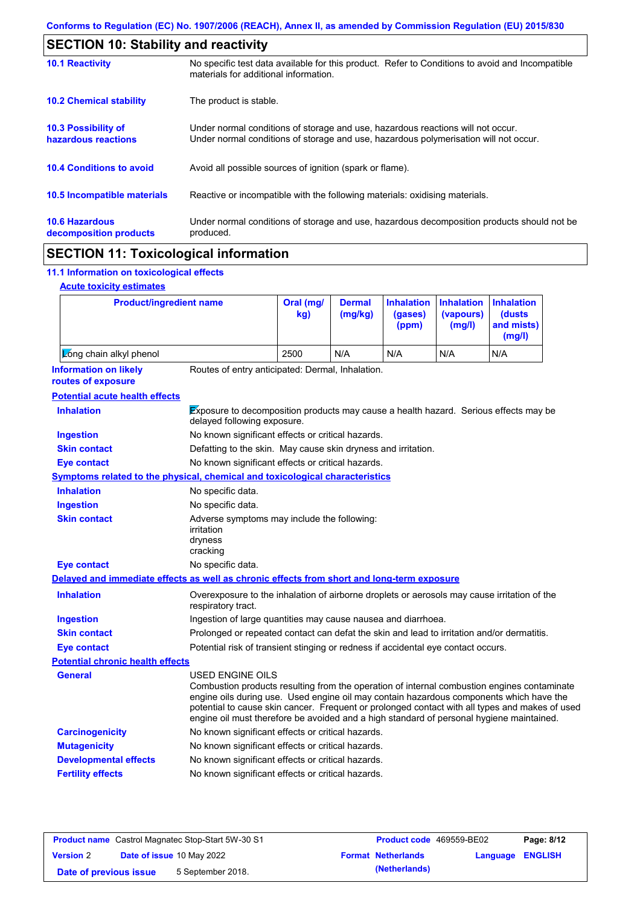| <b>SECTION 10: Stability and reactivity</b>       |                                                                                                                                                                         |  |  |  |  |
|---------------------------------------------------|-------------------------------------------------------------------------------------------------------------------------------------------------------------------------|--|--|--|--|
| <b>10.1 Reactivity</b>                            | No specific test data available for this product. Refer to Conditions to avoid and Incompatible<br>materials for additional information.                                |  |  |  |  |
| <b>10.2 Chemical stability</b>                    | The product is stable.                                                                                                                                                  |  |  |  |  |
| <b>10.3 Possibility of</b><br>hazardous reactions | Under normal conditions of storage and use, hazardous reactions will not occur.<br>Under normal conditions of storage and use, hazardous polymerisation will not occur. |  |  |  |  |
| <b>10.4 Conditions to avoid</b>                   | Avoid all possible sources of ignition (spark or flame).                                                                                                                |  |  |  |  |
| 10.5 Incompatible materials                       | Reactive or incompatible with the following materials: oxidising materials.                                                                                             |  |  |  |  |
| <b>10.6 Hazardous</b><br>decomposition products   | Under normal conditions of storage and use, hazardous decomposition products should not be<br>produced.                                                                 |  |  |  |  |

## **SECTION 11: Toxicological information**

### **11.1 Information on toxicological effects**

|  | <b>Acute toxicity estimates</b> |
|--|---------------------------------|
|  |                                 |

| <b>Product/ingredient name</b>                                                             |                                                                                                                                                                                                                                                                                                                                                                                                                 | Oral (mg/<br>kg) | <b>Dermal</b><br>(mg/kg) | <b>Inhalation</b><br>(gases)<br>(ppm) | <b>Inhalation</b><br>(vapours)<br>(mg/l) | <b>Inhalation</b><br>(dusts<br>and mists)<br>(mg/l) |
|--------------------------------------------------------------------------------------------|-----------------------------------------------------------------------------------------------------------------------------------------------------------------------------------------------------------------------------------------------------------------------------------------------------------------------------------------------------------------------------------------------------------------|------------------|--------------------------|---------------------------------------|------------------------------------------|-----------------------------------------------------|
| Long chain alkyl phenol                                                                    |                                                                                                                                                                                                                                                                                                                                                                                                                 | 2500             | N/A                      | N/A                                   | N/A                                      | N/A                                                 |
| <b>Information on likely</b><br>routes of exposure                                         | Routes of entry anticipated: Dermal, Inhalation.                                                                                                                                                                                                                                                                                                                                                                |                  |                          |                                       |                                          |                                                     |
| <b>Potential acute health effects</b>                                                      |                                                                                                                                                                                                                                                                                                                                                                                                                 |                  |                          |                                       |                                          |                                                     |
| <b>Inhalation</b>                                                                          | Exposure to decomposition products may cause a health hazard. Serious effects may be<br>delayed following exposure.                                                                                                                                                                                                                                                                                             |                  |                          |                                       |                                          |                                                     |
| <b>Ingestion</b>                                                                           | No known significant effects or critical hazards.                                                                                                                                                                                                                                                                                                                                                               |                  |                          |                                       |                                          |                                                     |
| <b>Skin contact</b>                                                                        | Defatting to the skin. May cause skin dryness and irritation.                                                                                                                                                                                                                                                                                                                                                   |                  |                          |                                       |                                          |                                                     |
| <b>Eye contact</b>                                                                         | No known significant effects or critical hazards.                                                                                                                                                                                                                                                                                                                                                               |                  |                          |                                       |                                          |                                                     |
| <b>Symptoms related to the physical, chemical and toxicological characteristics</b>        |                                                                                                                                                                                                                                                                                                                                                                                                                 |                  |                          |                                       |                                          |                                                     |
| <b>Inhalation</b>                                                                          | No specific data.                                                                                                                                                                                                                                                                                                                                                                                               |                  |                          |                                       |                                          |                                                     |
| <b>Ingestion</b>                                                                           | No specific data.                                                                                                                                                                                                                                                                                                                                                                                               |                  |                          |                                       |                                          |                                                     |
| <b>Skin contact</b>                                                                        | Adverse symptoms may include the following:<br>irritation<br>dryness<br>cracking                                                                                                                                                                                                                                                                                                                                |                  |                          |                                       |                                          |                                                     |
| <b>Eye contact</b>                                                                         | No specific data.                                                                                                                                                                                                                                                                                                                                                                                               |                  |                          |                                       |                                          |                                                     |
| Delayed and immediate effects as well as chronic effects from short and long-term exposure |                                                                                                                                                                                                                                                                                                                                                                                                                 |                  |                          |                                       |                                          |                                                     |
| <b>Inhalation</b>                                                                          | Overexposure to the inhalation of airborne droplets or aerosols may cause irritation of the<br>respiratory tract.                                                                                                                                                                                                                                                                                               |                  |                          |                                       |                                          |                                                     |
| <b>Ingestion</b>                                                                           | Ingestion of large quantities may cause nausea and diarrhoea.                                                                                                                                                                                                                                                                                                                                                   |                  |                          |                                       |                                          |                                                     |
| <b>Skin contact</b>                                                                        | Prolonged or repeated contact can defat the skin and lead to irritation and/or dermatitis.                                                                                                                                                                                                                                                                                                                      |                  |                          |                                       |                                          |                                                     |
| <b>Eye contact</b>                                                                         | Potential risk of transient stinging or redness if accidental eye contact occurs.                                                                                                                                                                                                                                                                                                                               |                  |                          |                                       |                                          |                                                     |
| <b>Potential chronic health effects</b>                                                    |                                                                                                                                                                                                                                                                                                                                                                                                                 |                  |                          |                                       |                                          |                                                     |
| General                                                                                    | <b>USED ENGINE OILS</b><br>Combustion products resulting from the operation of internal combustion engines contaminate<br>engine oils during use. Used engine oil may contain hazardous components which have the<br>potential to cause skin cancer. Frequent or prolonged contact with all types and makes of used<br>engine oil must therefore be avoided and a high standard of personal hygiene maintained. |                  |                          |                                       |                                          |                                                     |
| <b>Carcinogenicity</b>                                                                     | No known significant effects or critical hazards.                                                                                                                                                                                                                                                                                                                                                               |                  |                          |                                       |                                          |                                                     |
| <b>Mutagenicity</b>                                                                        | No known significant effects or critical hazards.                                                                                                                                                                                                                                                                                                                                                               |                  |                          |                                       |                                          |                                                     |
| <b>Developmental effects</b>                                                               | No known significant effects or critical hazards.                                                                                                                                                                                                                                                                                                                                                               |                  |                          |                                       |                                          |                                                     |
| <b>Fertility effects</b>                                                                   | No known significant effects or critical hazards.                                                                                                                                                                                                                                                                                                                                                               |                  |                          |                                       |                                          |                                                     |

| <b>Product name</b> Castrol Magnatec Stop-Start 5W-30 S1 |  | <b>Product code</b> 469559-BE02  | Page: 8/12                |                         |  |
|----------------------------------------------------------|--|----------------------------------|---------------------------|-------------------------|--|
| <b>Version 2</b>                                         |  | <b>Date of issue 10 May 2022</b> | <b>Format Netherlands</b> | <b>Language ENGLISH</b> |  |
| Date of previous issue                                   |  | 5 September 2018.                | (Netherlands)             |                         |  |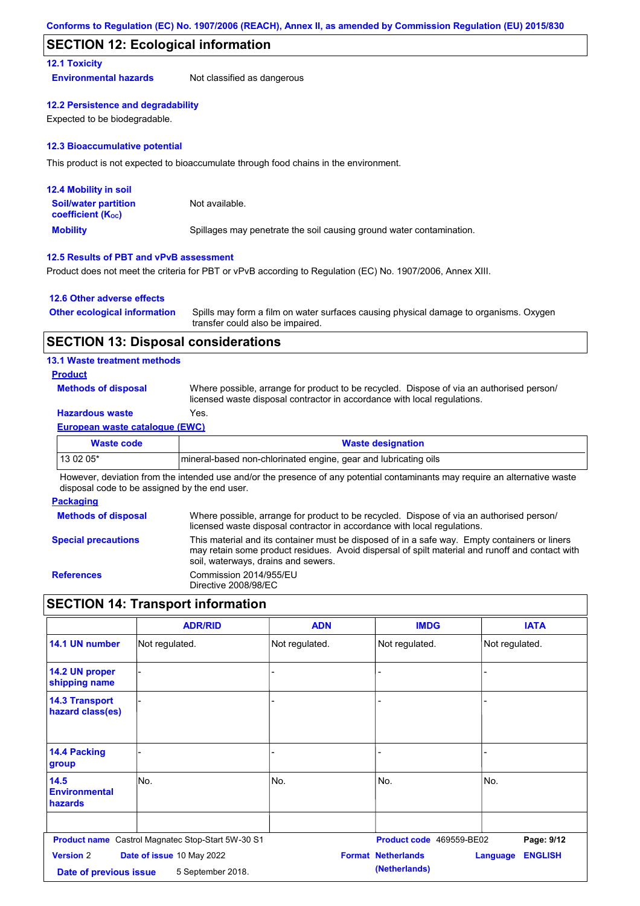#### **SECTION 12: Ecological information**

#### **12.1 Toxicity**

**Environmental hazards** Not classified as dangerous

#### **12.2 Persistence and degradability**

Expected to be biodegradable.

#### **12.3 Bioaccumulative potential**

This product is not expected to bioaccumulate through food chains in the environment.

| <b>12.4 Mobility in soil</b>                                  |                                                                      |
|---------------------------------------------------------------|----------------------------------------------------------------------|
| <b>Soil/water partition</b><br>coefficient (K <sub>oc</sub> ) | Not available.                                                       |
| <b>Mobility</b>                                               | Spillages may penetrate the soil causing ground water contamination. |

#### **12.5 Results of PBT and vPvB assessment**

Product does not meet the criteria for PBT or vPvB according to Regulation (EC) No. 1907/2006, Annex XIII.

#### **12.6 Other adverse effects**

| <b>Other ecological information</b> | Spills may form a film on water surfaces causing physical damage to organisms. Oxygen |
|-------------------------------------|---------------------------------------------------------------------------------------|
|                                     | transfer could also be impaired.                                                      |

#### **SECTION 13: Disposal considerations**

#### **13.1 Waste treatment methods**

#### **Product**

**Methods of disposal**

Where possible, arrange for product to be recycled. Dispose of via an authorised person/ licensed waste disposal contractor in accordance with local regulations.

### **Hazardous waste** Yes.

#### **European waste catalogue (EWC)**

| Waste code | <b>Waste designation</b>                                        |
|------------|-----------------------------------------------------------------|
| 13 02 05*  | mineral-based non-chlorinated engine, gear and lubricating oils |

However, deviation from the intended use and/or the presence of any potential contaminants may require an alternative waste disposal code to be assigned by the end user.

#### **Packaging**

| <b>Methods of disposal</b> | Where possible, arrange for product to be recycled. Dispose of via an authorised person/<br>licensed waste disposal contractor in accordance with local regulations.                                                                    |
|----------------------------|-----------------------------------------------------------------------------------------------------------------------------------------------------------------------------------------------------------------------------------------|
| <b>Special precautions</b> | This material and its container must be disposed of in a safe way. Empty containers or liners<br>may retain some product residues. Avoid dispersal of spilt material and runoff and contact with<br>soil, waterways, drains and sewers. |
| <b>References</b>          | Commission 2014/955/EU<br>Directive 2008/98/EC                                                                                                                                                                                          |

## **SECTION 14: Transport information**

|                                                | <b>ADR/RID</b>                                    | <b>ADN</b>     | <b>IMDG</b>               | <b>IATA</b>                       |
|------------------------------------------------|---------------------------------------------------|----------------|---------------------------|-----------------------------------|
| 14.1 UN number                                 | Not regulated.                                    | Not regulated. | Not regulated.            | Not regulated.                    |
| 14.2 UN proper<br>shipping name                |                                                   | -              |                           |                                   |
| <b>14.3 Transport</b><br>hazard class(es)      |                                                   |                |                           |                                   |
| 14.4 Packing<br>group                          |                                                   |                |                           |                                   |
| 14.5<br><b>Environmental</b><br><b>hazards</b> | No.                                               | No.            | No.                       | No.                               |
|                                                | Product name Castrol Magnatec Stop-Start 5W-30 S1 |                | Product code 469559-BE02  | Page: 9/12                        |
| <b>Version 2</b>                               | Date of issue 10 May 2022                         |                | <b>Format Netherlands</b> | <b>ENGLISH</b><br><b>Language</b> |
| Date of previous issue                         | 5 September 2018.                                 |                | (Netherlands)             |                                   |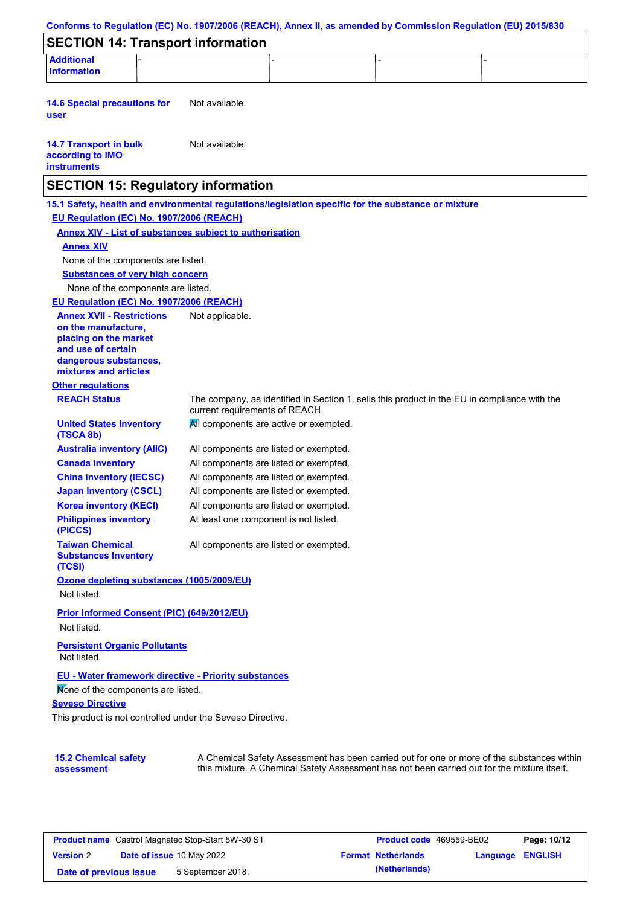| Not available.<br>Not available.<br><b>SECTION 15: Regulatory information</b><br>15.1 Safety, health and environmental regulations/legislation specific for the substance or mixture<br>EU Regulation (EC) No. 1907/2006 (REACH)<br><b>Annex XIV - List of substances subject to authorisation</b><br><b>Annex XIV</b><br>None of the components are listed.<br><b>Substances of very high concern</b><br>None of the components are listed.<br>EU Regulation (EC) No. 1907/2006 (REACH)<br><b>Annex XVII - Restrictions</b><br>Not applicable.<br>on the manufacture,<br>placing on the market<br>and use of certain<br>dangerous substances,<br>mixtures and articles<br><b>REACH Status</b><br>The company, as identified in Section 1, sells this product in the EU in compliance with the<br>current requirements of REACH.<br>All components are active or exempted.<br><b>United States inventory</b><br>(TSCA 8b)<br><b>Australia inventory (AIIC)</b><br>All components are listed or exempted.<br><b>Canada inventory</b><br>All components are listed or exempted.<br><b>China inventory (IECSC)</b><br>All components are listed or exempted.<br><b>Japan inventory (CSCL)</b><br>All components are listed or exempted.<br><b>Korea inventory (KECI)</b><br>All components are listed or exempted.<br><b>Philippines inventory</b><br>At least one component is not listed.<br>(PICCS)<br><b>Taiwan Chemical</b><br>All components are listed or exempted.<br><b>Substances Inventory</b><br>(TCSI)<br>Ozone depleting substances (1005/2009/EU)<br>Not listed.<br>Prior Informed Consent (PIC) (649/2012/EU)<br>Not listed.<br><b>Persistent Organic Pollutants</b><br>Not listed.<br>EU - Water framework directive - Priority substances<br>Mone of the components are listed.<br>This product is not controlled under the Seveso Directive. | <b>SECTION 14: Transport information</b>                                |  |  |  |
|--------------------------------------------------------------------------------------------------------------------------------------------------------------------------------------------------------------------------------------------------------------------------------------------------------------------------------------------------------------------------------------------------------------------------------------------------------------------------------------------------------------------------------------------------------------------------------------------------------------------------------------------------------------------------------------------------------------------------------------------------------------------------------------------------------------------------------------------------------------------------------------------------------------------------------------------------------------------------------------------------------------------------------------------------------------------------------------------------------------------------------------------------------------------------------------------------------------------------------------------------------------------------------------------------------------------------------------------------------------------------------------------------------------------------------------------------------------------------------------------------------------------------------------------------------------------------------------------------------------------------------------------------------------------------------------------------------------------------------------------------------------------------------------------------------------------------------------------------------------|-------------------------------------------------------------------------|--|--|--|
|                                                                                                                                                                                                                                                                                                                                                                                                                                                                                                                                                                                                                                                                                                                                                                                                                                                                                                                                                                                                                                                                                                                                                                                                                                                                                                                                                                                                                                                                                                                                                                                                                                                                                                                                                                                                                                                              | <b>Additional</b><br>information                                        |  |  |  |
|                                                                                                                                                                                                                                                                                                                                                                                                                                                                                                                                                                                                                                                                                                                                                                                                                                                                                                                                                                                                                                                                                                                                                                                                                                                                                                                                                                                                                                                                                                                                                                                                                                                                                                                                                                                                                                                              | <b>14.6 Special precautions for</b><br>user                             |  |  |  |
|                                                                                                                                                                                                                                                                                                                                                                                                                                                                                                                                                                                                                                                                                                                                                                                                                                                                                                                                                                                                                                                                                                                                                                                                                                                                                                                                                                                                                                                                                                                                                                                                                                                                                                                                                                                                                                                              | <b>14.7 Transport in bulk</b><br>according to IMO<br><b>instruments</b> |  |  |  |
|                                                                                                                                                                                                                                                                                                                                                                                                                                                                                                                                                                                                                                                                                                                                                                                                                                                                                                                                                                                                                                                                                                                                                                                                                                                                                                                                                                                                                                                                                                                                                                                                                                                                                                                                                                                                                                                              |                                                                         |  |  |  |
|                                                                                                                                                                                                                                                                                                                                                                                                                                                                                                                                                                                                                                                                                                                                                                                                                                                                                                                                                                                                                                                                                                                                                                                                                                                                                                                                                                                                                                                                                                                                                                                                                                                                                                                                                                                                                                                              |                                                                         |  |  |  |
|                                                                                                                                                                                                                                                                                                                                                                                                                                                                                                                                                                                                                                                                                                                                                                                                                                                                                                                                                                                                                                                                                                                                                                                                                                                                                                                                                                                                                                                                                                                                                                                                                                                                                                                                                                                                                                                              |                                                                         |  |  |  |
|                                                                                                                                                                                                                                                                                                                                                                                                                                                                                                                                                                                                                                                                                                                                                                                                                                                                                                                                                                                                                                                                                                                                                                                                                                                                                                                                                                                                                                                                                                                                                                                                                                                                                                                                                                                                                                                              |                                                                         |  |  |  |
|                                                                                                                                                                                                                                                                                                                                                                                                                                                                                                                                                                                                                                                                                                                                                                                                                                                                                                                                                                                                                                                                                                                                                                                                                                                                                                                                                                                                                                                                                                                                                                                                                                                                                                                                                                                                                                                              |                                                                         |  |  |  |
| A Chemical Safety Assessment has been carried out for one or more of the substances within                                                                                                                                                                                                                                                                                                                                                                                                                                                                                                                                                                                                                                                                                                                                                                                                                                                                                                                                                                                                                                                                                                                                                                                                                                                                                                                                                                                                                                                                                                                                                                                                                                                                                                                                                                   |                                                                         |  |  |  |
|                                                                                                                                                                                                                                                                                                                                                                                                                                                                                                                                                                                                                                                                                                                                                                                                                                                                                                                                                                                                                                                                                                                                                                                                                                                                                                                                                                                                                                                                                                                                                                                                                                                                                                                                                                                                                                                              |                                                                         |  |  |  |
|                                                                                                                                                                                                                                                                                                                                                                                                                                                                                                                                                                                                                                                                                                                                                                                                                                                                                                                                                                                                                                                                                                                                                                                                                                                                                                                                                                                                                                                                                                                                                                                                                                                                                                                                                                                                                                                              |                                                                         |  |  |  |
|                                                                                                                                                                                                                                                                                                                                                                                                                                                                                                                                                                                                                                                                                                                                                                                                                                                                                                                                                                                                                                                                                                                                                                                                                                                                                                                                                                                                                                                                                                                                                                                                                                                                                                                                                                                                                                                              |                                                                         |  |  |  |
|                                                                                                                                                                                                                                                                                                                                                                                                                                                                                                                                                                                                                                                                                                                                                                                                                                                                                                                                                                                                                                                                                                                                                                                                                                                                                                                                                                                                                                                                                                                                                                                                                                                                                                                                                                                                                                                              |                                                                         |  |  |  |
|                                                                                                                                                                                                                                                                                                                                                                                                                                                                                                                                                                                                                                                                                                                                                                                                                                                                                                                                                                                                                                                                                                                                                                                                                                                                                                                                                                                                                                                                                                                                                                                                                                                                                                                                                                                                                                                              |                                                                         |  |  |  |
|                                                                                                                                                                                                                                                                                                                                                                                                                                                                                                                                                                                                                                                                                                                                                                                                                                                                                                                                                                                                                                                                                                                                                                                                                                                                                                                                                                                                                                                                                                                                                                                                                                                                                                                                                                                                                                                              |                                                                         |  |  |  |
|                                                                                                                                                                                                                                                                                                                                                                                                                                                                                                                                                                                                                                                                                                                                                                                                                                                                                                                                                                                                                                                                                                                                                                                                                                                                                                                                                                                                                                                                                                                                                                                                                                                                                                                                                                                                                                                              |                                                                         |  |  |  |
|                                                                                                                                                                                                                                                                                                                                                                                                                                                                                                                                                                                                                                                                                                                                                                                                                                                                                                                                                                                                                                                                                                                                                                                                                                                                                                                                                                                                                                                                                                                                                                                                                                                                                                                                                                                                                                                              | <b>Other regulations</b>                                                |  |  |  |
|                                                                                                                                                                                                                                                                                                                                                                                                                                                                                                                                                                                                                                                                                                                                                                                                                                                                                                                                                                                                                                                                                                                                                                                                                                                                                                                                                                                                                                                                                                                                                                                                                                                                                                                                                                                                                                                              |                                                                         |  |  |  |
|                                                                                                                                                                                                                                                                                                                                                                                                                                                                                                                                                                                                                                                                                                                                                                                                                                                                                                                                                                                                                                                                                                                                                                                                                                                                                                                                                                                                                                                                                                                                                                                                                                                                                                                                                                                                                                                              |                                                                         |  |  |  |
|                                                                                                                                                                                                                                                                                                                                                                                                                                                                                                                                                                                                                                                                                                                                                                                                                                                                                                                                                                                                                                                                                                                                                                                                                                                                                                                                                                                                                                                                                                                                                                                                                                                                                                                                                                                                                                                              |                                                                         |  |  |  |
|                                                                                                                                                                                                                                                                                                                                                                                                                                                                                                                                                                                                                                                                                                                                                                                                                                                                                                                                                                                                                                                                                                                                                                                                                                                                                                                                                                                                                                                                                                                                                                                                                                                                                                                                                                                                                                                              |                                                                         |  |  |  |
|                                                                                                                                                                                                                                                                                                                                                                                                                                                                                                                                                                                                                                                                                                                                                                                                                                                                                                                                                                                                                                                                                                                                                                                                                                                                                                                                                                                                                                                                                                                                                                                                                                                                                                                                                                                                                                                              |                                                                         |  |  |  |
|                                                                                                                                                                                                                                                                                                                                                                                                                                                                                                                                                                                                                                                                                                                                                                                                                                                                                                                                                                                                                                                                                                                                                                                                                                                                                                                                                                                                                                                                                                                                                                                                                                                                                                                                                                                                                                                              |                                                                         |  |  |  |
|                                                                                                                                                                                                                                                                                                                                                                                                                                                                                                                                                                                                                                                                                                                                                                                                                                                                                                                                                                                                                                                                                                                                                                                                                                                                                                                                                                                                                                                                                                                                                                                                                                                                                                                                                                                                                                                              |                                                                         |  |  |  |
|                                                                                                                                                                                                                                                                                                                                                                                                                                                                                                                                                                                                                                                                                                                                                                                                                                                                                                                                                                                                                                                                                                                                                                                                                                                                                                                                                                                                                                                                                                                                                                                                                                                                                                                                                                                                                                                              |                                                                         |  |  |  |
|                                                                                                                                                                                                                                                                                                                                                                                                                                                                                                                                                                                                                                                                                                                                                                                                                                                                                                                                                                                                                                                                                                                                                                                                                                                                                                                                                                                                                                                                                                                                                                                                                                                                                                                                                                                                                                                              |                                                                         |  |  |  |
|                                                                                                                                                                                                                                                                                                                                                                                                                                                                                                                                                                                                                                                                                                                                                                                                                                                                                                                                                                                                                                                                                                                                                                                                                                                                                                                                                                                                                                                                                                                                                                                                                                                                                                                                                                                                                                                              |                                                                         |  |  |  |
|                                                                                                                                                                                                                                                                                                                                                                                                                                                                                                                                                                                                                                                                                                                                                                                                                                                                                                                                                                                                                                                                                                                                                                                                                                                                                                                                                                                                                                                                                                                                                                                                                                                                                                                                                                                                                                                              |                                                                         |  |  |  |
|                                                                                                                                                                                                                                                                                                                                                                                                                                                                                                                                                                                                                                                                                                                                                                                                                                                                                                                                                                                                                                                                                                                                                                                                                                                                                                                                                                                                                                                                                                                                                                                                                                                                                                                                                                                                                                                              |                                                                         |  |  |  |
|                                                                                                                                                                                                                                                                                                                                                                                                                                                                                                                                                                                                                                                                                                                                                                                                                                                                                                                                                                                                                                                                                                                                                                                                                                                                                                                                                                                                                                                                                                                                                                                                                                                                                                                                                                                                                                                              |                                                                         |  |  |  |
|                                                                                                                                                                                                                                                                                                                                                                                                                                                                                                                                                                                                                                                                                                                                                                                                                                                                                                                                                                                                                                                                                                                                                                                                                                                                                                                                                                                                                                                                                                                                                                                                                                                                                                                                                                                                                                                              |                                                                         |  |  |  |
|                                                                                                                                                                                                                                                                                                                                                                                                                                                                                                                                                                                                                                                                                                                                                                                                                                                                                                                                                                                                                                                                                                                                                                                                                                                                                                                                                                                                                                                                                                                                                                                                                                                                                                                                                                                                                                                              | <b>Seveso Directive</b>                                                 |  |  |  |
|                                                                                                                                                                                                                                                                                                                                                                                                                                                                                                                                                                                                                                                                                                                                                                                                                                                                                                                                                                                                                                                                                                                                                                                                                                                                                                                                                                                                                                                                                                                                                                                                                                                                                                                                                                                                                                                              |                                                                         |  |  |  |
|                                                                                                                                                                                                                                                                                                                                                                                                                                                                                                                                                                                                                                                                                                                                                                                                                                                                                                                                                                                                                                                                                                                                                                                                                                                                                                                                                                                                                                                                                                                                                                                                                                                                                                                                                                                                                                                              |                                                                         |  |  |  |
|                                                                                                                                                                                                                                                                                                                                                                                                                                                                                                                                                                                                                                                                                                                                                                                                                                                                                                                                                                                                                                                                                                                                                                                                                                                                                                                                                                                                                                                                                                                                                                                                                                                                                                                                                                                                                                                              | <b>15.2 Chemical safety</b>                                             |  |  |  |

|                        | <b>Product name</b> Castrol Magnatec Stop-Start 5W-30 S1 | <b>Product code</b> 469559-BE02 |                         | Page: 10/12 |
|------------------------|----------------------------------------------------------|---------------------------------|-------------------------|-------------|
| <b>Version 2</b>       | <b>Date of issue 10 May 2022</b>                         | <b>Format Netherlands</b>       | <b>Language ENGLISH</b> |             |
| Date of previous issue | 5 September 2018.                                        | (Netherlands)                   |                         |             |

this mixture. A Chemical Safety Assessment has not been carried out for the mixture itself.

**assessment**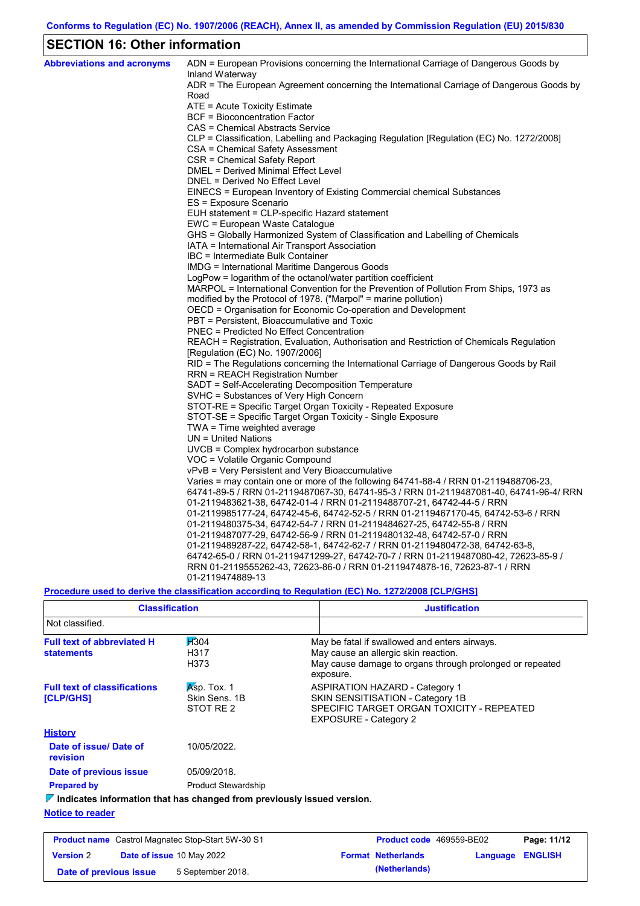# **SECTION 16: Other information**

| <b>Abbreviations and acronyms</b> | ADN = European Provisions concerning the International Carriage of Dangerous Goods by<br>Inland Waterway |
|-----------------------------------|----------------------------------------------------------------------------------------------------------|
|                                   | ADR = The European Agreement concerning the International Carriage of Dangerous Goods by                 |
|                                   | Road                                                                                                     |
|                                   | ATE = Acute Toxicity Estimate                                                                            |
|                                   | BCF = Bioconcentration Factor                                                                            |
|                                   | CAS = Chemical Abstracts Service                                                                         |
|                                   | CLP = Classification, Labelling and Packaging Regulation [Regulation (EC) No. 1272/2008]                 |
|                                   | CSA = Chemical Safety Assessment                                                                         |
|                                   | CSR = Chemical Safety Report                                                                             |
|                                   | DMEL = Derived Minimal Effect Level                                                                      |
|                                   | DNEL = Derived No Effect Level                                                                           |
|                                   | EINECS = European Inventory of Existing Commercial chemical Substances                                   |
|                                   | ES = Exposure Scenario                                                                                   |
|                                   | EUH statement = CLP-specific Hazard statement                                                            |
|                                   | EWC = European Waste Catalogue                                                                           |
|                                   | GHS = Globally Harmonized System of Classification and Labelling of Chemicals                            |
|                                   | IATA = International Air Transport Association                                                           |
|                                   | IBC = Intermediate Bulk Container                                                                        |
|                                   | IMDG = International Maritime Dangerous Goods                                                            |
|                                   | LogPow = logarithm of the octanol/water partition coefficient                                            |
|                                   | MARPOL = International Convention for the Prevention of Pollution From Ships, 1973 as                    |
|                                   | modified by the Protocol of 1978. ("Marpol" = marine pollution)                                          |
|                                   | OECD = Organisation for Economic Co-operation and Development                                            |
|                                   | PBT = Persistent, Bioaccumulative and Toxic                                                              |
|                                   | PNEC = Predicted No Effect Concentration                                                                 |
|                                   | REACH = Registration, Evaluation, Authorisation and Restriction of Chemicals Regulation                  |
|                                   | [Regulation (EC) No. 1907/2006]                                                                          |
|                                   | RID = The Regulations concerning the International Carriage of Dangerous Goods by Rail                   |
|                                   | RRN = REACH Registration Number                                                                          |
|                                   | SADT = Self-Accelerating Decomposition Temperature                                                       |
|                                   | SVHC = Substances of Very High Concern                                                                   |
|                                   | STOT-RE = Specific Target Organ Toxicity - Repeated Exposure                                             |
|                                   | STOT-SE = Specific Target Organ Toxicity - Single Exposure                                               |
|                                   | TWA = Time weighted average                                                                              |
|                                   | $UN = United Nations$                                                                                    |
|                                   | UVCB = Complex hydrocarbon substance                                                                     |
|                                   | VOC = Volatile Organic Compound                                                                          |
|                                   | vPvB = Very Persistent and Very Bioaccumulative                                                          |
|                                   | Varies = may contain one or more of the following 64741-88-4 / RRN 01-2119488706-23,                     |
|                                   | 64741-89-5 / RRN 01-2119487067-30, 64741-95-3 / RRN 01-2119487081-40, 64741-96-4/ RRN                    |
|                                   | 01-2119483621-38, 64742-01-4 / RRN 01-2119488707-21, 64742-44-5 / RRN                                    |
|                                   | 01-2119985177-24, 64742-45-6, 64742-52-5 / RRN 01-2119467170-45, 64742-53-6 / RRN                        |
|                                   | 01-2119480375-34, 64742-54-7 / RRN 01-2119484627-25, 64742-55-8 / RRN                                    |
|                                   | 01-2119487077-29, 64742-56-9 / RRN 01-2119480132-48, 64742-57-0 / RRN                                    |
|                                   | 01-2119489287-22, 64742-58-1, 64742-62-7 / RRN 01-2119480472-38, 64742-63-8,                             |
|                                   | 64742-65-0 / RRN 01-2119471299-27, 64742-70-7 / RRN 01-2119487080-42, 72623-85-9 /                       |
|                                   | RRN 01-2119555262-43, 72623-86-0 / RRN 01-2119474878-16, 72623-87-1 / RRN                                |
|                                   | 01-2119474889-13                                                                                         |

**Procedure used to derive the classification according to Regulation (EC) No. 1272/2008 [CLP/GHS]**

| <b>Classification</b>                                                           |                                           | <b>Justification</b>                                                                                                                                           |
|---------------------------------------------------------------------------------|-------------------------------------------|----------------------------------------------------------------------------------------------------------------------------------------------------------------|
| Not classified.                                                                 |                                           |                                                                                                                                                                |
| <b>Full text of abbreviated H</b><br><b>statements</b>                          | H304<br>H317<br>H373                      | May be fatal if swallowed and enters airways.<br>May cause an allergic skin reaction.<br>May cause damage to organs through prolonged or repeated<br>exposure. |
| <b>Full text of classifications</b><br><b>[CLP/GHS]</b>                         | Asp. Tox. 1<br>Skin Sens, 1B<br>STOT RE 2 | <b>ASPIRATION HAZARD - Category 1</b><br>SKIN SENSITISATION - Category 1B<br>SPECIFIC TARGET ORGAN TOXICITY - REPEATED<br><b>EXPOSURE - Category 2</b>         |
| <b>History</b>                                                                  |                                           |                                                                                                                                                                |
| Date of issue/Date of<br>revision                                               | 10/05/2022.                               |                                                                                                                                                                |
| Date of previous issue                                                          | 05/09/2018.                               |                                                                                                                                                                |
| <b>Prepared by</b>                                                              | <b>Product Stewardship</b>                |                                                                                                                                                                |
| $\nabla$ Indicates information that has changed from previously issued version. |                                           |                                                                                                                                                                |
| <b>Notice to reader</b>                                                         |                                           |                                                                                                                                                                |

|                        | <b>Product name</b> Castrol Magnatec Stop-Start 5W-30 S1 | <b>Product code</b> 469559-BE02 |                         | Page: 11/12 |
|------------------------|----------------------------------------------------------|---------------------------------|-------------------------|-------------|
| <b>Version 2</b>       | <b>Date of issue 10 May 2022</b>                         | <b>Format Netherlands</b>       | <b>Language ENGLISH</b> |             |
| Date of previous issue | 5 September 2018.                                        | (Netherlands)                   |                         |             |